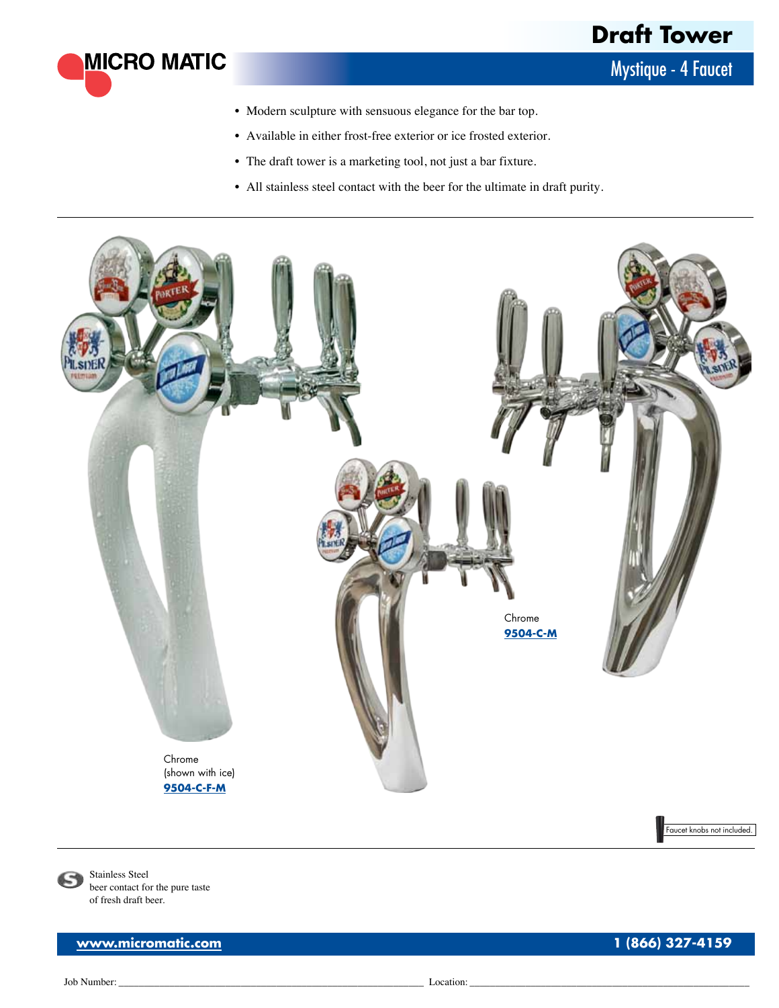Mystique - 4 Faucet

- Modern sculpture with sensuous elegance for the bar top.
- • Available in either frost-free exterior or ice frosted exterior.
- The draft tower is a marketing tool, not just a bar fixture.
- All stainless steel contact with the beer for the ultimate in draft purity.



Stainless Steel beer contact for the pure taste of fresh draft beer.

**[www.micromatic.com](http://www.micromatic.com/draft-keg-beer/equipment-cid-2.html) 1 (866) 327-4159**

**MICRO MATIC** 

Job Number: \_\_\_\_\_\_\_\_\_\_\_\_\_\_\_\_\_\_\_\_\_\_\_\_\_\_\_\_\_\_\_\_\_\_\_\_\_\_\_\_\_\_\_\_\_\_\_\_\_\_\_\_\_\_\_\_\_\_\_\_ Location: \_\_\_\_\_\_\_\_\_\_\_\_\_\_\_\_\_\_\_\_\_\_\_\_\_\_\_\_\_\_\_\_\_\_\_\_\_\_\_\_\_\_\_\_\_\_\_\_\_\_\_\_\_\_\_